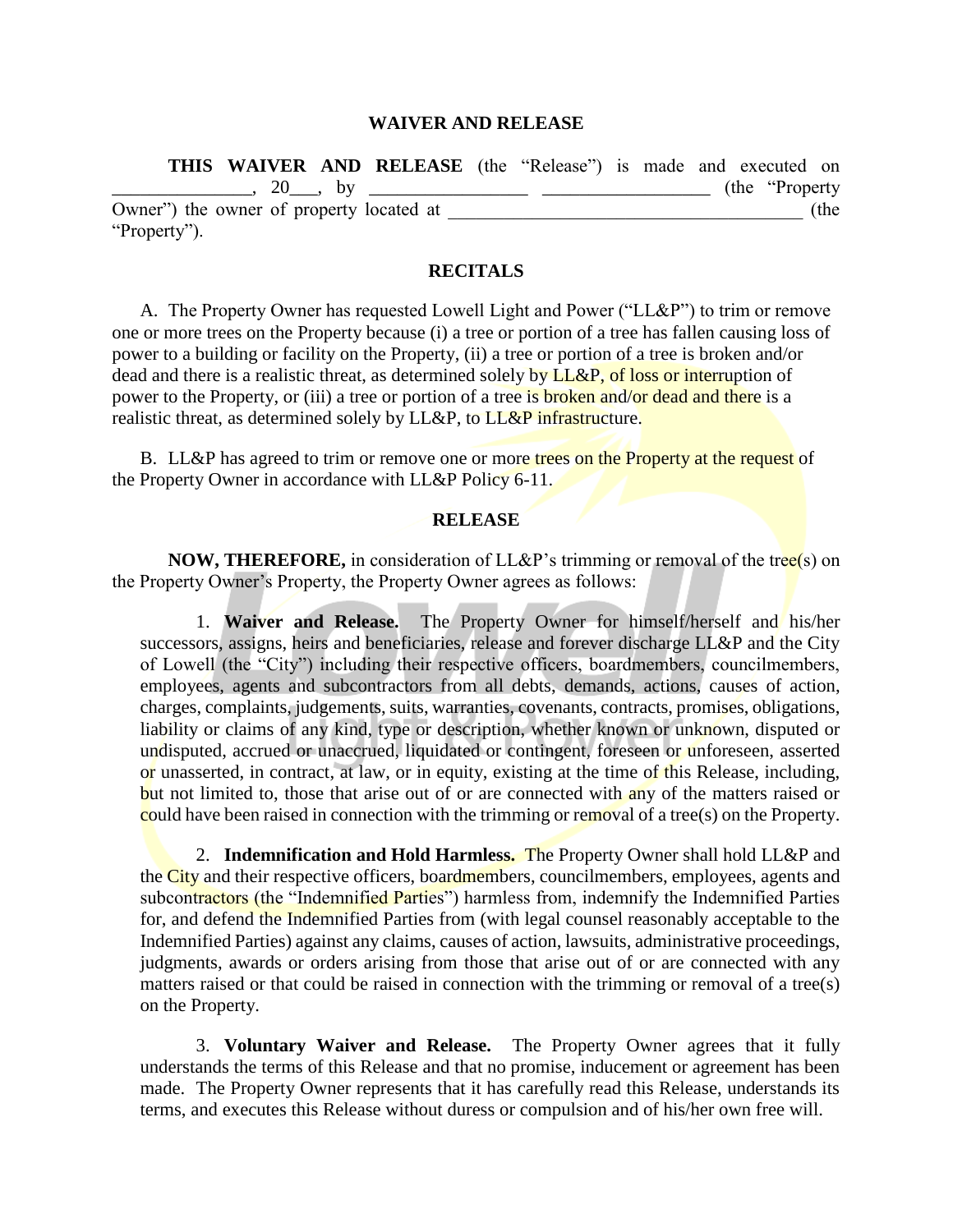## **WAIVER AND RELEASE**

|                                          |  | <b>THIS WAIVER AND RELEASE</b> (the "Release") is made and executed on |  |  |                  |      |
|------------------------------------------|--|------------------------------------------------------------------------|--|--|------------------|------|
|                                          |  | $20$ , by                                                              |  |  | (the "Property") |      |
| Owner") the owner of property located at |  |                                                                        |  |  |                  | (the |
| "Property").                             |  |                                                                        |  |  |                  |      |

## **RECITALS**

A. The Property Owner has requested Lowell Light and Power ("LL&P") to trim or remove one or more trees on the Property because (i) a tree or portion of a tree has fallen causing loss of power to a building or facility on the Property, (ii) a tree or portion of a tree is broken and/or dead and there is a realistic threat, as determined solely by LL&P, of loss or interruption of power to the Property, or (iii) a tree or portion of a tree is broken and/or dead and there is a realistic threat, as determined solely by LL&P, to LL&P infrastructure.

B. LL&P has agreed to trim or remove one or more trees on the Property at the request of the Property Owner in accordance with LL&P Policy 6-11.

## **RELEASE**

**NOW, THEREFORE,** in consideration of LL&P's trimming or removal of the tree(s) on the Property Owner's Property, the Property Owner agrees as follows:

1. **Waiver and Release.** The Property Owner for himself/herself and his/her successors, assigns, heirs and beneficiaries, release and forever discharge LL&P and the City of Lowell (the "City") including their respective officers, boardmembers, councilmembers, employees, agents and subcontractors from all debts, demands, actions, causes of action, charges, complaints, judgements, suits, warranties, covenants, contracts, promises, obligations, liability or claims of any kind, type or description, whether known or unknown, disputed or undisputed, accrued or unaccrued, liquidated or contingent, foreseen or unforeseen, asserted or unasserted, in contract, at law, or in equity, existing at the time of this Release, including, but not limited to, those that arise out of or are connected with any of the matters raised or could have been raised in connection with the trimming or removal of a tree(s) on the Property.

2. **Indemnification and Hold Harmless.** The Property Owner shall hold LL&P and the City and their respective officers, boardmembers, councilmembers, employees, agents and subcontractors (the "Indemnified Parties") harmless from, indemnify the Indemnified Parties for, and defend the Indemnified Parties from (with legal counsel reasonably acceptable to the Indemnified Parties) against any claims, causes of action, lawsuits, administrative proceedings, judgments, awards or orders arising from those that arise out of or are connected with any matters raised or that could be raised in connection with the trimming or removal of a tree(s) on the Property.

3. **Voluntary Waiver and Release.** The Property Owner agrees that it fully understands the terms of this Release and that no promise, inducement or agreement has been made. The Property Owner represents that it has carefully read this Release, understands its terms, and executes this Release without duress or compulsion and of his/her own free will.